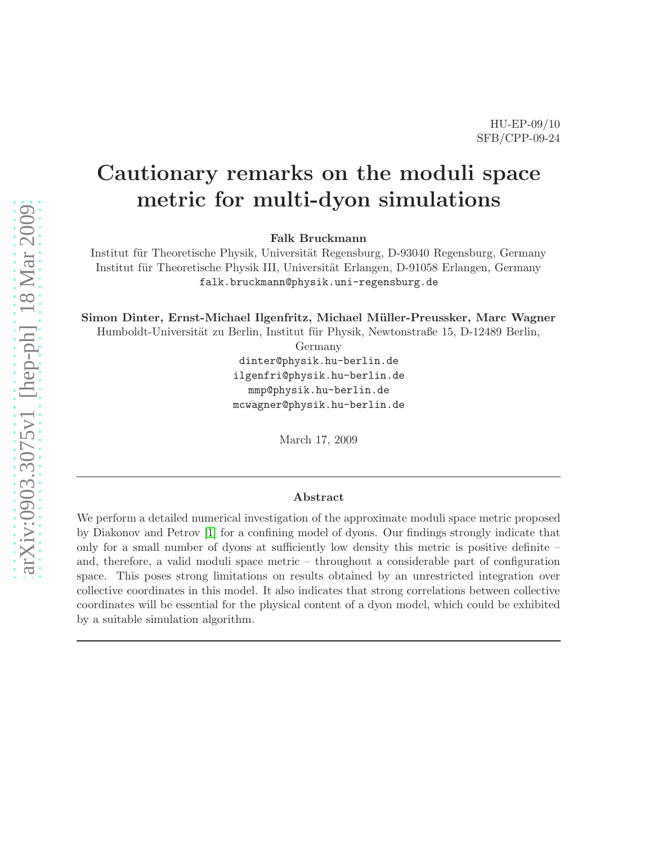# Cautionary remarks on the moduli space metric for multi-dyon simulations

Falk Bruckmann

Institut für Theoretische Physik, Universität Regensburg, D-93040 Regensburg, Germany Institut für Theoretische Physik III, Universität Erlangen, D-91058 Erlangen, Germany falk.bruckmann@physik.uni-regensburg.de

Simon Dinter, Ernst-Michael Ilgenfritz, Michael Müller-Preussker, Marc Wagner

Humboldt-Universität zu Berlin, Institut für Physik, Newtonstraße 15, D-12489 Berlin,

Germany

dinter@physik.hu-berlin.de ilgenfri@physik.hu-berlin.de mmp@physik.hu-berlin.de mcwagner@physik.hu-berlin.de

March 17, 2009

#### Abstract

We perform a detailed numerical investigation of the approximate moduli space metric proposed by Diakonov and Petrov [\[1\]](#page-18-0) for a confining model of dyons. Our findings strongly indicate that only for a small number of dyons at sufficiently low density this metric is positive definite – and, therefore, a valid moduli space metric – throughout a considerable part of configuration space. This poses strong limitations on results obtained by an unrestricted integration over collective coordinates in this model. It also indicates that strong correlations between collective coordinates will be essential for the physical content of a dyon model, which could be exhibited by a suitable simulation algorithm.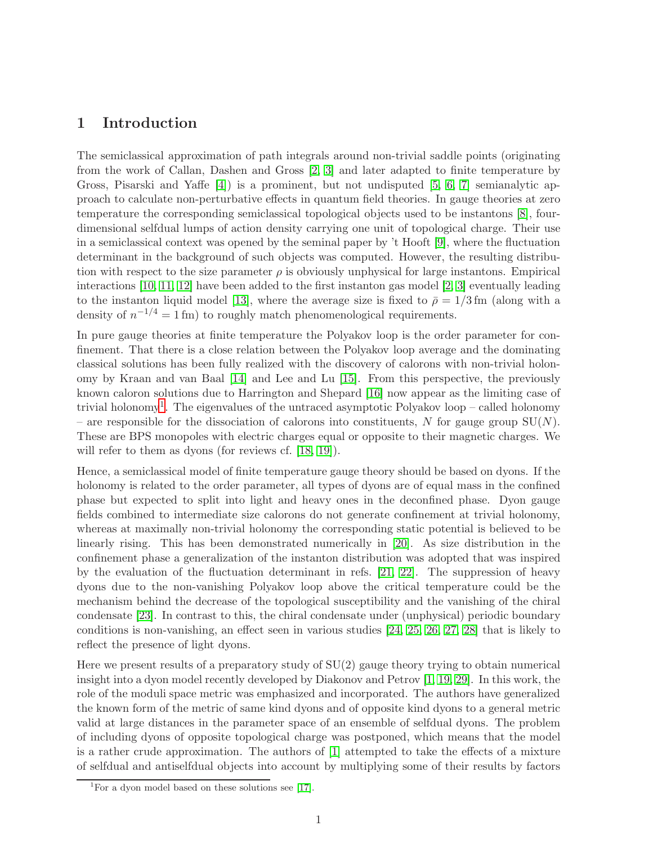## 1 Introduction

The semiclassical approximation of path integrals around non-trivial saddle points (originating from the work of Callan, Dashen and Gross [\[2,](#page-18-1) [3\]](#page-18-2) and later adapted to finite temperature by Gross, Pisarski and Yaffe [\[4\]](#page-18-3)) is a prominent, but not undisputed [\[5,](#page-18-4) [6,](#page-18-5) [7\]](#page-18-6) semianalytic approach to calculate non-perturbative effects in quantum field theories. In gauge theories at zero temperature the corresponding semiclassical topological objects used to be instantons [\[8\]](#page-18-7), fourdimensional selfdual lumps of action density carrying one unit of topological charge. Their use in a semiclassical context was opened by the seminal paper by 't Hooft [\[9\]](#page-18-8), where the fluctuation determinant in the background of such objects was computed. However, the resulting distribution with respect to the size parameter  $\rho$  is obviously unphysical for large instantons. Empirical interactions [\[10,](#page-18-9) [11,](#page-18-10) [12\]](#page-18-11) have been added to the first instanton gas model [\[2,](#page-18-1) [3\]](#page-18-2) eventually leading to the instanton liquid model [\[13\]](#page-18-12), where the average size is fixed to  $\bar{\rho} = 1/3$  fm (along with a density of  $n^{-1/4} = 1$  fm) to roughly match phenomenological requirements.

In pure gauge theories at finite temperature the Polyakov loop is the order parameter for confinement. That there is a close relation between the Polyakov loop average and the dominating classical solutions has been fully realized with the discovery of calorons with non-trivial holonomy by Kraan and van Baal [\[14\]](#page-18-13) and Lee and Lu [\[15\]](#page-19-0). From this perspective, the previously known caloron solutions due to Harrington and Shepard [\[16\]](#page-19-1) now appear as the limiting case of trivial holonomy<sup>[1](#page-1-0)</sup>. The eigenvalues of the untraced asymptotic Polyakov loop – called holonomy – are responsible for the dissociation of calorons into constituents, N for gauge group  $SU(N)$ . These are BPS monopoles with electric charges equal or opposite to their magnetic charges. We will refer to them as dyons (for reviews cf. [\[18,](#page-19-2) [19\]](#page-19-3)).

Hence, a semiclassical model of finite temperature gauge theory should be based on dyons. If the holonomy is related to the order parameter, all types of dyons are of equal mass in the confined phase but expected to split into light and heavy ones in the deconfined phase. Dyon gauge fields combined to intermediate size calorons do not generate confinement at trivial holonomy, whereas at maximally non-trivial holonomy the corresponding static potential is believed to be linearly rising. This has been demonstrated numerically in [\[20\]](#page-19-4). As size distribution in the confinement phase a generalization of the instanton distribution was adopted that was inspired by the evaluation of the fluctuation determinant in refs. [\[21,](#page-19-5) [22\]](#page-19-6). The suppression of heavy dyons due to the non-vanishing Polyakov loop above the critical temperature could be the mechanism behind the decrease of the topological susceptibility and the vanishing of the chiral condensate [\[23\]](#page-19-7). In contrast to this, the chiral condensate under (unphysical) periodic boundary conditions is non-vanishing, an effect seen in various studies [\[24,](#page-19-8) [25,](#page-19-9) [26,](#page-19-10) [27,](#page-19-11) [28\]](#page-19-12) that is likely to reflect the presence of light dyons.

Here we present results of a preparatory study of SU(2) gauge theory trying to obtain numerical insight into a dyon model recently developed by Diakonov and Petrov [\[1,](#page-18-0) [19,](#page-19-3) [29\]](#page-19-13). In this work, the role of the moduli space metric was emphasized and incorporated. The authors have generalized the known form of the metric of same kind dyons and of opposite kind dyons to a general metric valid at large distances in the parameter space of an ensemble of selfdual dyons. The problem of including dyons of opposite topological charge was postponed, which means that the model is a rather crude approximation. The authors of [\[1\]](#page-18-0) attempted to take the effects of a mixture of selfdual and antiselfdual objects into account by multiplying some of their results by factors

<span id="page-1-0"></span> $1$ For a dyon model based on these solutions see [\[17\]](#page-19-14).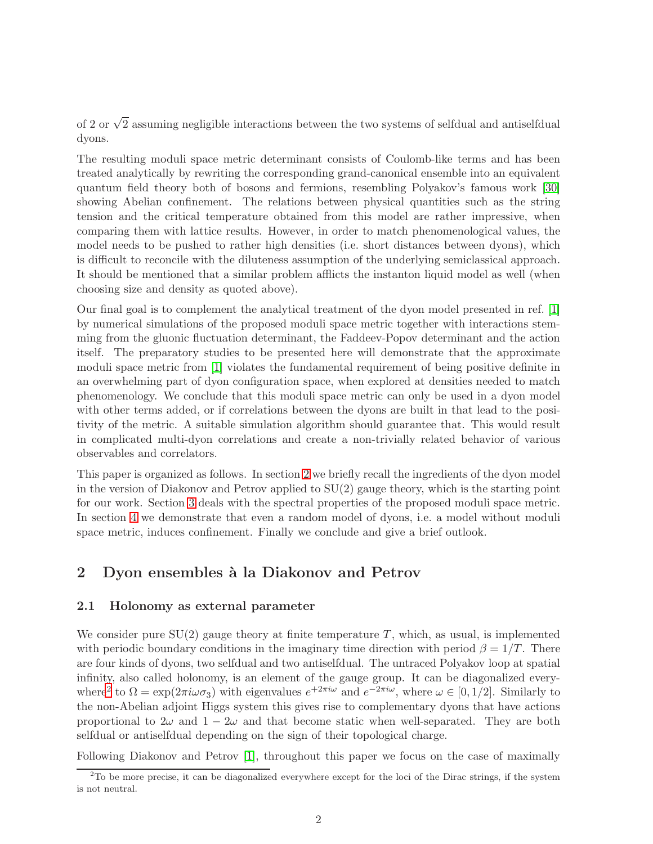of 2 or  $\sqrt{2}$  assuming negligible interactions between the two systems of selfdual and antiselfdual dyons.

The resulting moduli space metric determinant consists of Coulomb-like terms and has been treated analytically by rewriting the corresponding grand-canonical ensemble into an equivalent quantum field theory both of bosons and fermions, resembling Polyakov's famous work [\[30\]](#page-19-15) showing Abelian confinement. The relations between physical quantities such as the string tension and the critical temperature obtained from this model are rather impressive, when comparing them with lattice results. However, in order to match phenomenological values, the model needs to be pushed to rather high densities (i.e. short distances between dyons), which is difficult to reconcile with the diluteness assumption of the underlying semiclassical approach. It should be mentioned that a similar problem afflicts the instanton liquid model as well (when choosing size and density as quoted above).

Our final goal is to complement the analytical treatment of the dyon model presented in ref. [\[1\]](#page-18-0) by numerical simulations of the proposed moduli space metric together with interactions stemming from the gluonic fluctuation determinant, the Faddeev-Popov determinant and the action itself. The preparatory studies to be presented here will demonstrate that the approximate moduli space metric from [\[1\]](#page-18-0) violates the fundamental requirement of being positive definite in an overwhelming part of dyon configuration space, when explored at densities needed to match phenomenology. We conclude that this moduli space metric can only be used in a dyon model with other terms added, or if correlations between the dyons are built in that lead to the positivity of the metric. A suitable simulation algorithm should guarantee that. This would result in complicated multi-dyon correlations and create a non-trivially related behavior of various observables and correlators.

This paper is organized as follows. In section [2](#page-2-0) we briefly recall the ingredients of the dyon model in the version of Diakonov and Petrov applied to  $SU(2)$  gauge theory, which is the starting point for our work. Section [3](#page-4-0) deals with the spectral properties of the proposed moduli space metric. In section [4](#page-13-0) we demonstrate that even a random model of dyons, i.e. a model without moduli space metric, induces confinement. Finally we conclude and give a brief outlook.

## <span id="page-2-0"></span>2 Dyon ensembles à la Diakonov and Petrov

#### 2.1 Holonomy as external parameter

We consider pure  $SU(2)$  gauge theory at finite temperature T, which, as usual, is implemented with periodic boundary conditions in the imaginary time direction with period  $\beta = 1/T$ . There are four kinds of dyons, two selfdual and two antiselfdual. The untraced Polyakov loop at spatial infinity, also called holonomy, is an element of the gauge group. It can be diagonalized every-where<sup>[2](#page-2-1)</sup> to  $\Omega = \exp(2\pi i \omega \sigma_3)$  with eigenvalues  $e^{+2\pi i \omega}$  and  $e^{-2\pi i \omega}$ , where  $\omega \in [0, 1/2]$ . Similarly to the non-Abelian adjoint Higgs system this gives rise to complementary dyons that have actions proportional to  $2\omega$  and  $1-2\omega$  and that become static when well-separated. They are both selfdual or antiselfdual depending on the sign of their topological charge.

Following Diakonov and Petrov [\[1\]](#page-18-0), throughout this paper we focus on the case of maximally

<span id="page-2-1"></span> $2^2$ To be more precise, it can be diagonalized everywhere except for the loci of the Dirac strings, if the system is not neutral.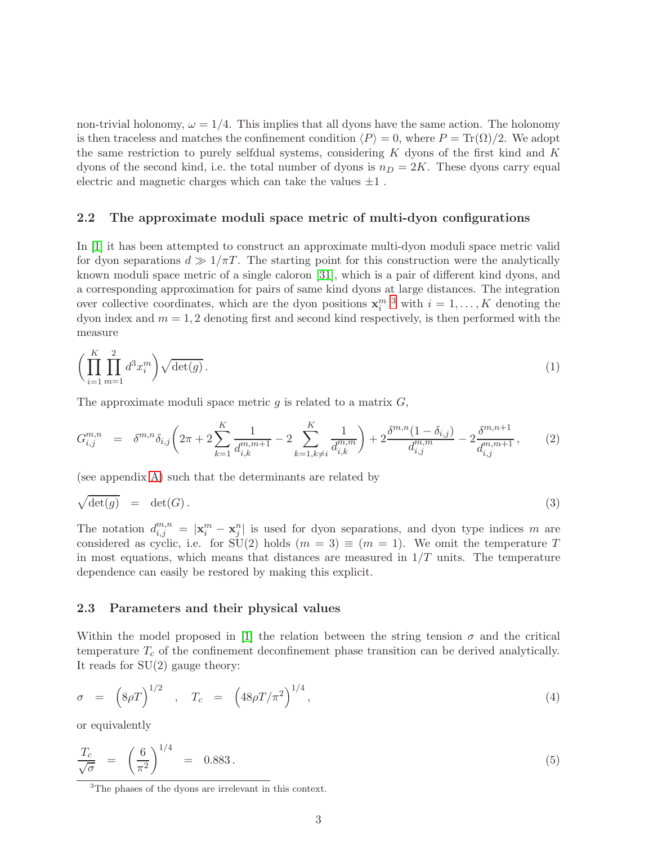non-trivial holonomy,  $\omega = 1/4$ . This implies that all dyons have the same action. The holonomy is then traceless and matches the confinement condition  $\langle P \rangle = 0$ , where  $P = \text{Tr}(\Omega)/2$ . We adopt the same restriction to purely selfdual systems, considering  $K$  dyons of the first kind and  $K$ dyons of the second kind, i.e. the total number of dyons is  $n_D = 2K$ . These dyons carry equal electric and magnetic charges which can take the values  $\pm 1$ .

#### <span id="page-3-2"></span>2.2 The approximate moduli space metric of multi-dyon configurations

In [\[1\]](#page-18-0) it has been attempted to construct an approximate multi-dyon moduli space metric valid for dyon separations  $d \gg 1/\pi T$ . The starting point for this construction were the analytically known moduli space metric of a single caloron [\[31\]](#page-20-0), which is a pair of different kind dyons, and a corresponding approximation for pairs of same kind dyons at large distances. The integration over collective coordinates, which are the dyon positions  $\mathbf{x}_i^{m}$ <sup>[3](#page-3-0)</sup> with  $i = 1, ..., K$  denoting the dyon index and  $m = 1, 2$  denoting first and second kind respectively, is then performed with the measure

<span id="page-3-3"></span>
$$
\left(\prod_{i=1}^{K} \prod_{m=1}^{2} d^3 x_i^m\right) \sqrt{\det(g)}\,. \tag{1}
$$

The approximate moduli space metric  $g$  is related to a matrix  $G$ ,

<span id="page-3-4"></span>
$$
G_{i,j}^{m,n} = \delta^{m,n} \delta_{i,j} \left( 2\pi + 2 \sum_{k=1}^K \frac{1}{d_{i,k}^{m,m+1}} - 2 \sum_{k=1, k \neq i}^K \frac{1}{d_{i,k}^{m,m}} \right) + 2 \frac{\delta^{m,n} (1 - \delta_{i,j})}{d_{i,j}^{m,m}} - 2 \frac{\delta^{m,n+1}}{d_{i,j}^{m,m+1}},
$$
(2)

(see appendix [A\)](#page-16-0) such that the determinants are related by

$$
\sqrt{\det(g)} = \det(G). \tag{3}
$$

The notation  $d_{i,j}^{m,n} = |\mathbf{x}_i^m - \mathbf{x}_j^n|$  is used for dyon separations, and dyon type indices m are considered as cyclic, i.e. for  $SU(2)$  holds  $(m = 3) \equiv (m = 1)$ . We omit the temperature T in most equations, which means that distances are measured in  $1/T$  units. The temperature dependence can easily be restored by making this explicit.

#### <span id="page-3-5"></span>2.3 Parameters and their physical values

Within the model proposed in [\[1\]](#page-18-0) the relation between the string tension  $\sigma$  and the critical temperature  $T_c$  of the confinement deconfinement phase transition can be derived analytically. It reads for SU(2) gauge theory:

<span id="page-3-1"></span>
$$
\sigma = \left(8\rho T\right)^{1/2}, \quad T_c = \left(48\rho T/\pi^2\right)^{1/4},\tag{4}
$$

or equivalently

$$
\frac{T_c}{\sqrt{\sigma}} = \left(\frac{6}{\pi^2}\right)^{1/4} = 0.883. \tag{5}
$$

<span id="page-3-0"></span><sup>3</sup>The phases of the dyons are irrelevant in this context.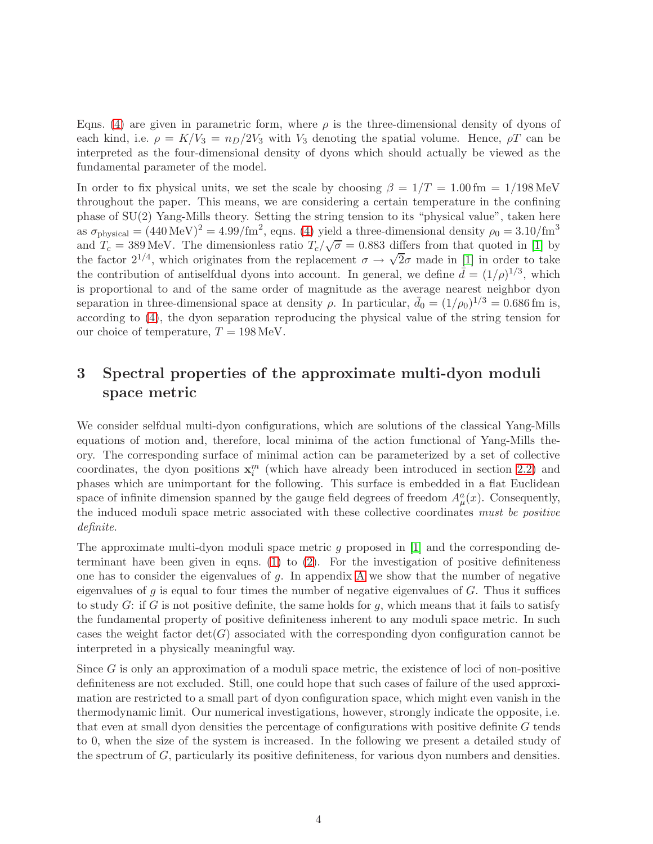Eqns. [\(4\)](#page-3-1) are given in parametric form, where  $\rho$  is the three-dimensional density of dyons of each kind, i.e.  $\rho = K/V_3 = n_D/2V_3$  with  $V_3$  denoting the spatial volume. Hence,  $\rho T$  can be interpreted as the four-dimensional density of dyons which should actually be viewed as the fundamental parameter of the model.

In order to fix physical units, we set the scale by choosing  $\beta = 1/T = 1.00$  fm = 1/198 MeV throughout the paper. This means, we are considering a certain temperature in the confining phase of SU(2) Yang-Mills theory. Setting the string tension to its "physical value", taken here as  $\sigma_{\text{physical}} = (440 \,\text{MeV})^2 = 4.99/\text{fm}^2$ , eqns. [\(4\)](#page-3-1) yield a three-dimensional density  $\rho_0 = 3.10/\text{fm}^3$ and  $T_c = 389 \text{ MeV}$ . The dimensionless ratio  $T_c/\sqrt{\sigma} = 0.883$  differs from that quoted in [\[1\]](#page-18-0) by the factor  $2^{1/4}$ , which originates from the replacement  $\sigma \to \sqrt{2}\sigma$  made in [\[1\]](#page-18-0) in order to take the contribution of antiselfdual dyons into account. In general, we define  $\bar{d} = (1/\rho)^{1/3}$ , which is proportional to and of the same order of magnitude as the average nearest neighbor dyon separation in three-dimensional space at density  $\rho$ . In particular,  $\bar{d}_0 = (1/\rho_0)^{1/3} = 0.686 \,\text{fm}$  is, according to [\(4\)](#page-3-1), the dyon separation reproducing the physical value of the string tension for our choice of temperature,  $T = 198$  MeV.

# <span id="page-4-0"></span>3 Spectral properties of the approximate multi-dyon moduli space metric

We consider selfdual multi-dyon configurations, which are solutions of the classical Yang-Mills equations of motion and, therefore, local minima of the action functional of Yang-Mills theory. The corresponding surface of minimal action can be parameterized by a set of collective coordinates, the dyon positions  $\mathbf{x}_i^m$  (which have already been introduced in section [2.2\)](#page-3-2) and phases which are unimportant for the following. This surface is embedded in a flat Euclidean space of infinite dimension spanned by the gauge field degrees of freedom  $A^a_\mu(x)$ . Consequently, the induced moduli space metric associated with these collective coordinates must be positive definite.

The approximate multi-dyon moduli space metric g proposed in [\[1\]](#page-18-0) and the corresponding determinant have been given in eqns.  $(1)$  to  $(2)$ . For the investigation of positive definiteness one has to consider the eigenvalues of  $g$ . In appendix [A](#page-16-0) we show that the number of negative eigenvalues of  $g$  is equal to four times the number of negative eigenvalues of  $G$ . Thus it suffices to study G: if G is not positive definite, the same holds for g, which means that it fails to satisfy the fundamental property of positive definiteness inherent to any moduli space metric. In such cases the weight factor  $det(G)$  associated with the corresponding dyon configuration cannot be interpreted in a physically meaningful way.

Since  $G$  is only an approximation of a moduli space metric, the existence of loci of non-positive definiteness are not excluded. Still, one could hope that such cases of failure of the used approximation are restricted to a small part of dyon configuration space, which might even vanish in the thermodynamic limit. Our numerical investigations, however, strongly indicate the opposite, i.e. that even at small dyon densities the percentage of configurations with positive definite G tends to 0, when the size of the system is increased. In the following we present a detailed study of the spectrum of G, particularly its positive definiteness, for various dyon numbers and densities.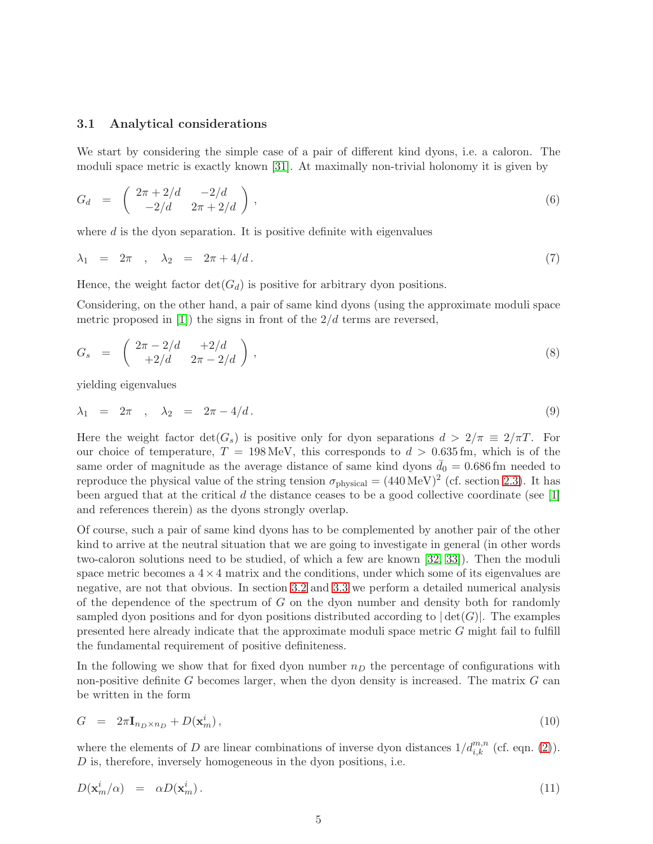#### <span id="page-5-1"></span>3.1 Analytical considerations

We start by considering the simple case of a pair of different kind dyons, i.e. a caloron. The moduli space metric is exactly known [\[31\]](#page-20-0). At maximally non-trivial holonomy it is given by

$$
G_d = \begin{pmatrix} 2\pi + 2/d & -2/d \\ -2/d & 2\pi + 2/d \end{pmatrix},
$$
 (6)

where  $d$  is the dyon separation. It is positive definite with eigenvalues

$$
\lambda_1 = 2\pi , \quad \lambda_2 = 2\pi + 4/d. \tag{7}
$$

Hence, the weight factor  $\det(G_d)$  is positive for arbitrary dyon positions.

Considering, on the other hand, a pair of same kind dyons (using the approximate moduli space metric proposed in [\[1\]](#page-18-0)) the signs in front of the  $2/d$  terms are reversed,

$$
G_s = \begin{pmatrix} 2\pi - 2/d & +2/d \\ +2/d & 2\pi - 2/d \end{pmatrix},
$$
 (8)

yielding eigenvalues

$$
\lambda_1 = 2\pi , \quad \lambda_2 = 2\pi - 4/d. \tag{9}
$$

Here the weight factor  $\det(G_s)$  is positive only for dyon separations  $d > 2/\pi \equiv 2/\pi T$ . For our choice of temperature,  $T = 198 \text{ MeV}$ , this corresponds to  $d > 0.635 \text{ fm}$ , which is of the same order of magnitude as the average distance of same kind dyons  $\bar{d}_0 = 0.686$  fm needed to reproduce the physical value of the string tension  $\sigma_{\text{physical}} = (440 \,\text{MeV})^2$  (cf. section [2.3\)](#page-3-5). It has been argued that at the critical  $d$  the distance ceases to be a good collective coordinate (see [\[1\]](#page-18-0) and references therein) as the dyons strongly overlap.

Of course, such a pair of same kind dyons has to be complemented by another pair of the other kind to arrive at the neutral situation that we are going to investigate in general (in other words two-caloron solutions need to be studied, of which a few are known [\[32,](#page-20-1) [33\]](#page-20-2)). Then the moduli space metric becomes a  $4 \times 4$  matrix and the conditions, under which some of its eigenvalues are negative, are not that obvious. In section [3.2](#page-6-0) and [3.3](#page-10-0) we perform a detailed numerical analysis of the dependence of the spectrum of  $G$  on the dyon number and density both for randomly sampled dyon positions and for dyon positions distributed according to  $|\det(G)|$ . The examples presented here already indicate that the approximate moduli space metric G might fail to fulfill the fundamental requirement of positive definiteness.

In the following we show that for fixed dyon number  $n_D$  the percentage of configurations with non-positive definite  $G$  becomes larger, when the dyon density is increased. The matrix  $G$  can be written in the form

$$
G = 2\pi \mathbf{I}_{n_D \times n_D} + D(\mathbf{x}_m^i), \tag{10}
$$

where the elements of D are linear combinations of inverse dyon distances  $1/d_{i,k}^{m,n}$  (cf. eqn. [\(2\)](#page-3-4)). D is, therefore, inversely homogeneous in the dyon positions, i.e.

<span id="page-5-0"></span>
$$
D(\mathbf{x}_m^i/\alpha) = \alpha D(\mathbf{x}_m^i). \tag{11}
$$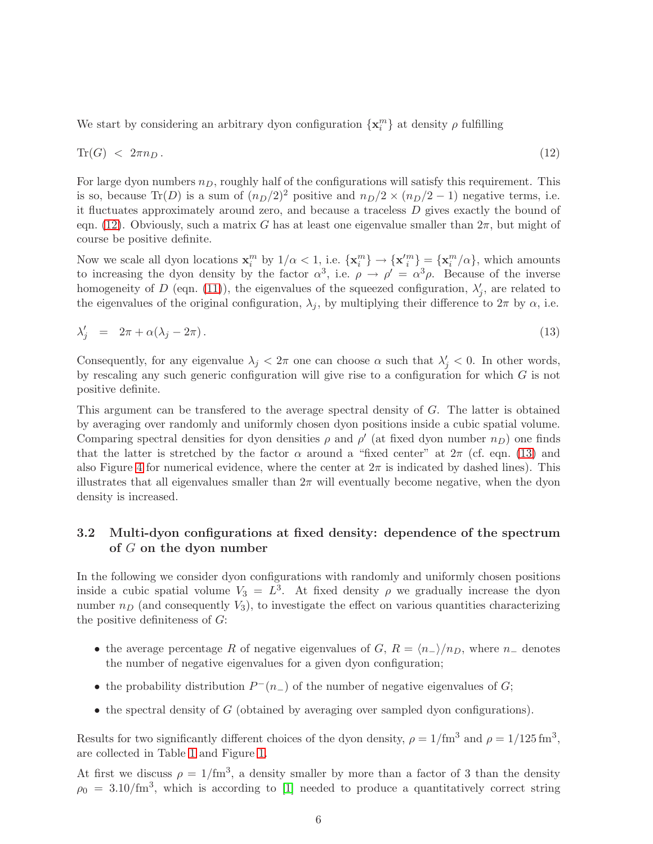We start by considering an arbitrary dyon configuration  $\{\mathbf x_i^m\}$  at density  $\rho$  fulfilling

<span id="page-6-1"></span>
$$
\operatorname{Tr}(G) \, < \, 2\pi n_D \,. \tag{12}
$$

For large dyon numbers  $n_D$ , roughly half of the configurations will satisfy this requirement. This is so, because Tr(D) is a sum of  $(n_D/2)^2$  positive and  $n_D/2 \times (n_D/2 - 1)$  negative terms, i.e. it fluctuates approximately around zero, and because a traceless D gives exactly the bound of eqn. [\(12\)](#page-6-1). Obviously, such a matrix G has at least one eigenvalue smaller than  $2\pi$ , but might of course be positive definite.

Now we scale all dyon locations  $\mathbf{x}_i^m$  by  $1/\alpha < 1$ , i.e.  $\{\mathbf{x}_i^m\} \rightarrow \{\mathbf{x}'_i^m\} = \{\mathbf{x}_i^m/\alpha\}$ , which amounts to increasing the dyon density by the factor  $\alpha^3$ , i.e.  $\rho \to \rho' = \alpha^3 \rho$ . Because of the inverse homogeneity of D (eqn. [\(11\)](#page-5-0)), the eigenvalues of the squeezed configuration,  $\lambda'_{j}$ , are related to the eigenvalues of the original configuration,  $\lambda_j$ , by multiplying their difference to  $2\pi$  by  $\alpha$ , i.e.

<span id="page-6-2"></span>
$$
\lambda'_j = 2\pi + \alpha(\lambda_j - 2\pi). \tag{13}
$$

Consequently, for any eigenvalue  $\lambda_j < 2\pi$  one can choose  $\alpha$  such that  $\lambda'_j < 0$ . In other words, by rescaling any such generic configuration will give rise to a configuration for which  $G$  is not positive definite.

This argument can be transfered to the average spectral density of G. The latter is obtained by averaging over randomly and uniformly chosen dyon positions inside a cubic spatial volume. Comparing spectral densities for dyon densities  $\rho$  and  $\rho'$  (at fixed dyon number  $n_D$ ) one finds that the latter is stretched by the factor  $\alpha$  around a "fixed center" at  $2\pi$  (cf. eqn. [\(13\)](#page-6-2) and also Figure [4](#page-12-0) for numerical evidence, where the center at  $2\pi$  is indicated by dashed lines). This illustrates that all eigenvalues smaller than  $2\pi$  will eventually become negative, when the dyon density is increased.

#### <span id="page-6-0"></span>3.2 Multi-dyon configurations at fixed density: dependence of the spectrum of G on the dyon number

In the following we consider dyon configurations with randomly and uniformly chosen positions inside a cubic spatial volume  $V_3 = L^3$ . At fixed density  $\rho$  we gradually increase the dyon number  $n_D$  (and consequently  $V_3$ ), to investigate the effect on various quantities characterizing the positive definiteness of  $G$ :

- the average percentage R of negative eigenvalues of G,  $R = \langle n_{-} \rangle / n_{D}$ , where  $n_{-}$  denotes the number of negative eigenvalues for a given dyon configuration;
- the probability distribution  $P^-(n_-)$  of the number of negative eigenvalues of  $G$ ;
- $\bullet$  the spectral density of G (obtained by averaging over sampled dyon configurations).

Results for two significantly different choices of the dyon density,  $\rho = 1/\text{fm}^3$  and  $\rho = 1/125 \text{ fm}^3$ , are collected in Table [1](#page-8-0) and Figure [1.](#page-7-0)

At first we discuss  $\rho = 1/m^3$ , a density smaller by more than a factor of 3 than the density  $\rho_0 = 3.10 \, \text{fm}^3$ , which is according to [\[1\]](#page-18-0) needed to produce a quantitatively correct string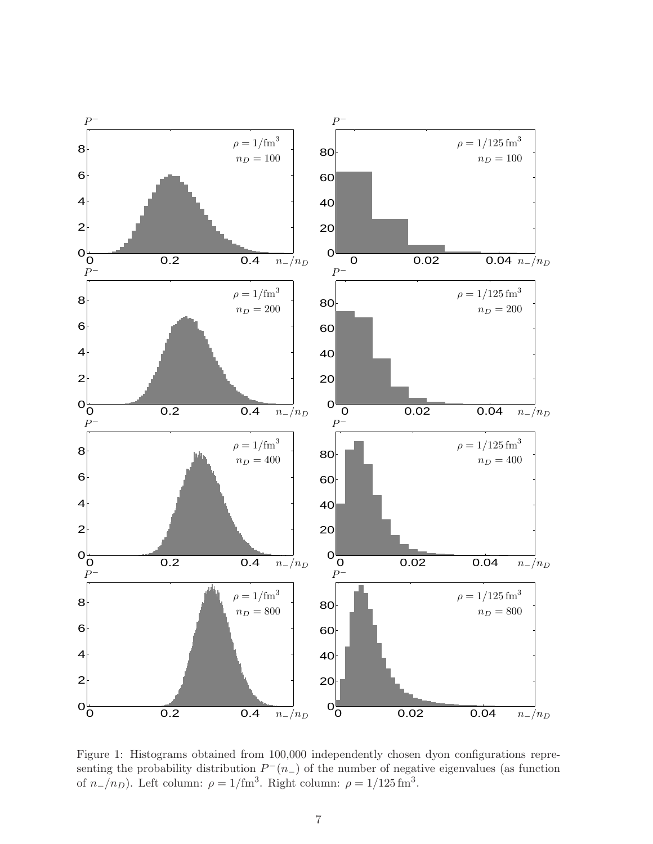

<span id="page-7-0"></span>Figure 1: Histograms obtained from 100,000 independently chosen dyon configurations representing the probability distribution  $P^-(n)$  of the number of negative eigenvalues (as function of  $n_{-}/n_{D}$ ). Left column:  $\rho = 1/\text{fm}^3$ . Right column:  $\rho = 1/125 \text{ fm}^3$ .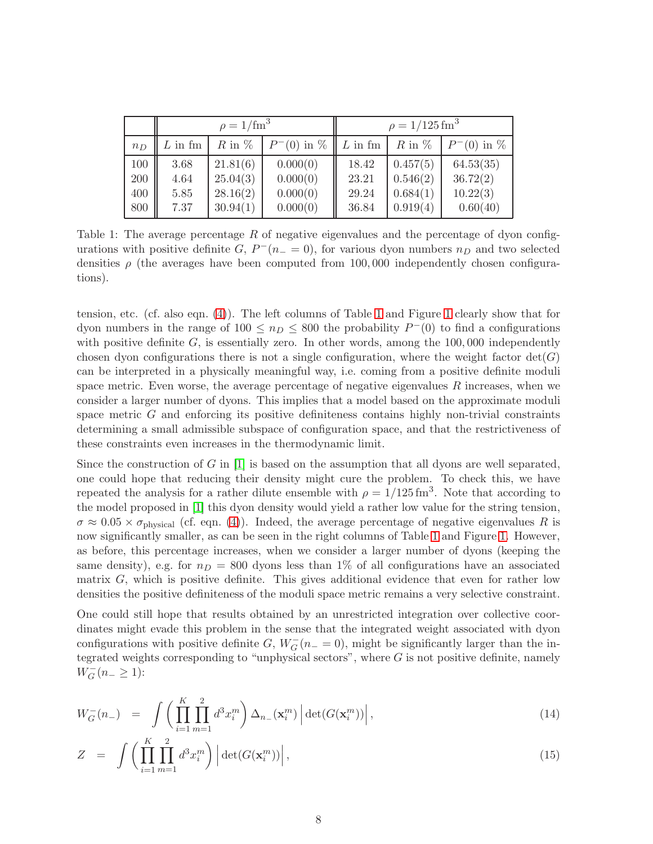|       | $\rho = 1/\text{fm}^3$ |            |                 | $\rho = 1/125$ fm <sup>3</sup> |            |                 |
|-------|------------------------|------------|-----------------|--------------------------------|------------|-----------------|
| $n_D$ | $L$ in fm              | $R$ in $%$ | $P^{-}(0)$ in % | $L$ in fm                      | $R$ in $%$ | $P^{-}(0)$ in % |
| 100   | 3.68                   | 21.81(6)   | 0.000(0)        | 18.42                          | 0.457(5)   | 64.53(35)       |
| 200   | 4.64                   | 25.04(3)   | 0.000(0)        | 23.21                          | 0.546(2)   | 36.72(2)        |
| 400   | 5.85                   | 28.16(2)   | 0.000(0)        | 29.24                          | 0.684(1)   | 10.22(3)        |
| 800   | 7.37                   | 30.94(1)   | 0.000(0)        | 36.84                          | 0.919(4)   | 0.60(40)        |

<span id="page-8-0"></span>Table 1: The average percentage  $R$  of negative eigenvalues and the percentage of dyon configurations with positive definite  $G, P^-(n_+ = 0)$ , for various dyon numbers  $n_D$  and two selected densities  $\rho$  (the averages have been computed from 100,000 independently chosen configurations).

tension, etc. (cf. also eqn. [\(4\)](#page-3-1)). The left columns of Table [1](#page-8-0) and Figure [1](#page-7-0) clearly show that for dyon numbers in the range of  $100 \le n_D \le 800$  the probability  $P^-(0)$  to find a configurations with positive definite  $G$ , is essentially zero. In other words, among the  $100,000$  independently chosen dyon configurations there is not a single configuration, where the weight factor  $det(G)$ can be interpreted in a physically meaningful way, i.e. coming from a positive definite moduli space metric. Even worse, the average percentage of negative eigenvalues  $R$  increases, when we consider a larger number of dyons. This implies that a model based on the approximate moduli space metric  $G$  and enforcing its positive definiteness contains highly non-trivial constraints determining a small admissible subspace of configuration space, and that the restrictiveness of these constraints even increases in the thermodynamic limit.

Since the construction of G in  $[1]$  is based on the assumption that all dyons are well separated, one could hope that reducing their density might cure the problem. To check this, we have repeated the analysis for a rather dilute ensemble with  $\rho = 1/125 \text{ fm}^3$ . Note that according to the model proposed in [\[1\]](#page-18-0) this dyon density would yield a rather low value for the string tension,  $\sigma \approx 0.05 \times \sigma_{\text{physical}}$  (cf. eqn. [\(4\)](#page-3-1)). Indeed, the average percentage of negative eigenvalues R is now significantly smaller, as can be seen in the right columns of Table [1](#page-8-0) and Figure [1.](#page-7-0) However, as before, this percentage increases, when we consider a larger number of dyons (keeping the same density), e.g. for  $n_D = 800$  dyons less than 1% of all configurations have an associated matrix G, which is positive definite. This gives additional evidence that even for rather low densities the positive definiteness of the moduli space metric remains a very selective constraint.

One could still hope that results obtained by an unrestricted integration over collective coordinates might evade this problem in the sense that the integrated weight associated with dyon configurations with positive definite  $G, W_G^-(n_+ = 0)$ , might be significantly larger than the integrated weights corresponding to "unphysical sectors", where  $G$  is not positive definite, namely  $W_G^-(n_- \geq 1)$ :

<span id="page-8-1"></span>
$$
W_G^-(n_-) = \int \left( \prod_{i=1}^K \prod_{m=1}^2 d^3 x_i^m \right) \Delta_{n_-} (\mathbf{x}_i^m) \left| \det(G(\mathbf{x}_i^m)) \right|, \tag{14}
$$

$$
Z = \int \left( \prod_{i=1}^{K} \prod_{m=1}^{2} d^3 x_i^m \right) \left| \det(G(\mathbf{x}_i^m)) \right|,
$$
\n(15)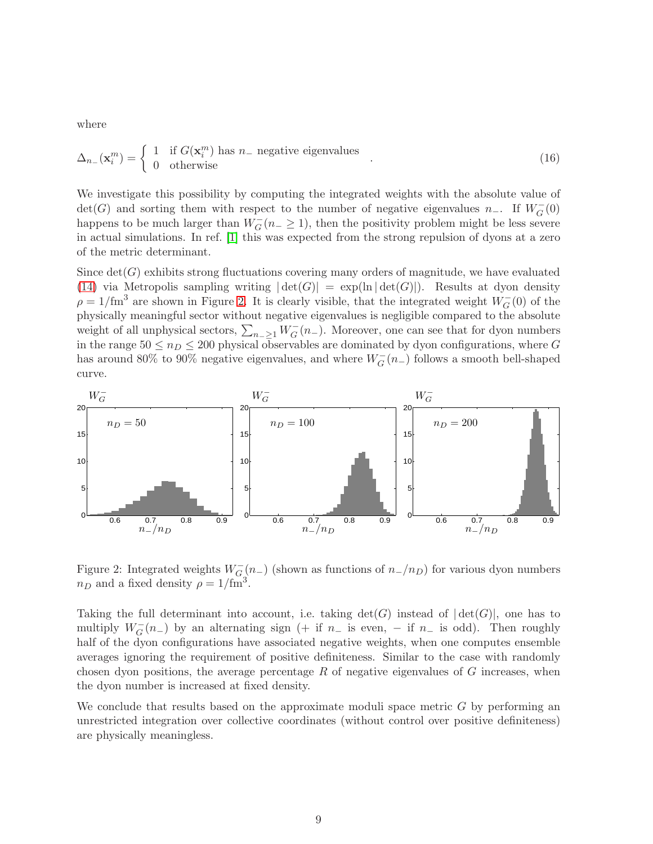where

$$
\Delta_{n_{-}}(\mathbf{x}_{i}^{m}) = \begin{cases} 1 & \text{if } G(\mathbf{x}_{i}^{m}) \text{ has } n_{-} \text{ negative eigenvalues} \\ 0 & \text{otherwise} \end{cases} . \tag{16}
$$

We investigate this possibility by computing the integrated weights with the absolute value of  $\det(G)$  and sorting them with respect to the number of negative eigenvalues n<sub>−</sub>. If  $W_G^-(0)$ happens to be much larger than  $W_G^-(n_- \geq 1)$ , then the positivity problem might be less severe in actual simulations. In ref. [\[1\]](#page-18-0) this was expected from the strong repulsion of dyons at a zero of the metric determinant.

Since  $\det(G)$  exhibits strong fluctuations covering many orders of magnitude, we have evaluated [\(14\)](#page-8-1) via Metropolis sampling writing  $|\det(G)| = \exp(\ln |\det(G)|)$ . Results at dyon density  $\rho = 1/\text{fm}^3$  are shown in Figure [2.](#page-9-0) It is clearly visible, that the integrated weight  $W_G^-(0)$  of the physically meaningful sector without negative eigenvalues is negligible compared to the absolute weight of all unphysical sectors,  $\sum_{n=\geq 1} W_G^-(n-)$ . Moreover, one can see that for dyon numbers in the range  $50 \le n_D \le 200$  physical observables are dominated by dyon configurations, where G has around 80% to 90% negative eigenvalues, and where  $W_G^-(n-)$  follows a smooth bell-shaped curve.



<span id="page-9-0"></span>Figure 2: Integrated weights  $W_{G}^{-}(n_{-})$  (shown as functions of  $n_{-}/n_{D}$ ) for various dyon numbers  $n_D$  and a fixed density  $\rho = 1/\text{fm}^3$ .

Taking the full determinant into account, i.e. taking  $\det(G)$  instead of  $|\det(G)|$ , one has to multiply  $W_G^-(n-)$  by an alternating sign (+ if  $n_-$  is even, - if  $n_-$  is odd). Then roughly half of the dyon configurations have associated negative weights, when one computes ensemble averages ignoring the requirement of positive definiteness. Similar to the case with randomly chosen dyon positions, the average percentage  $R$  of negative eigenvalues of  $G$  increases, when the dyon number is increased at fixed density.

We conclude that results based on the approximate moduli space metric  $G$  by performing an unrestricted integration over collective coordinates (without control over positive definiteness) are physically meaningless.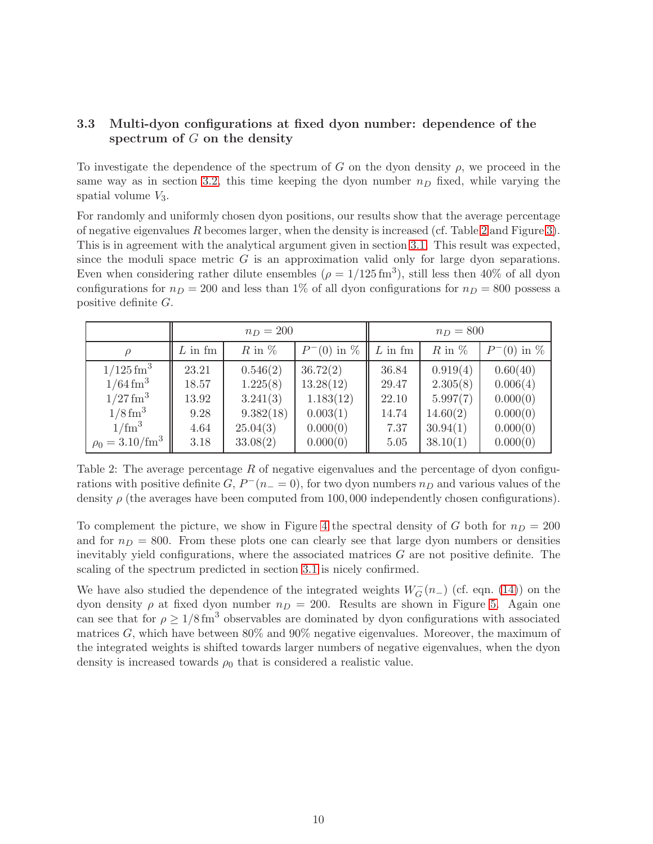#### <span id="page-10-0"></span>3.3 Multi-dyon configurations at fixed dyon number: dependence of the spectrum of  $G$  on the density

To investigate the dependence of the spectrum of G on the dyon density  $\rho$ , we proceed in the same way as in section [3.2,](#page-6-0) this time keeping the dyon number  $n<sub>D</sub>$  fixed, while varying the spatial volume  $V_3$ .

For randomly and uniformly chosen dyon positions, our results show that the average percentage of negative eigenvalues R becomes larger, when the density is increased (cf. Table [2](#page-10-1) and Figure [3\)](#page-11-0). This is in agreement with the analytical argument given in section [3.1.](#page-5-1) This result was expected, since the moduli space metric  $G$  is an approximation valid only for large dyon separations. Even when considering rather dilute ensembles  $(\rho = 1/125 \text{ fm}^3)$ , still less then 40% of all dyon configurations for  $n_D = 200$  and less than 1% of all dyon configurations for  $n_D = 800$  possess a positive definite G.

|                               | $n_D = 200$ |            |                 | $n_D = 800$ |            |                 |
|-------------------------------|-------------|------------|-----------------|-------------|------------|-----------------|
| $\rho$                        | $L$ in fm   | $R$ in $%$ | $P^{-}(0)$ in % | $L$ in fm   | $R$ in $%$ | $P^{-}(0)$ in % |
| $1/125$ fm <sup>3</sup>       | 23.21       | 0.546(2)   | 36.72(2)        | 36.84       | 0.919(4)   | 0.60(40)        |
| $1/64 \,\mathrm{fm}^3$        | 18.57       | 1.225(8)   | 13.28(12)       | 29.47       | 2.305(8)   | 0.006(4)        |
| $1/27 \,\mathrm{fm}^3$        | 13.92       | 3.241(3)   | 1.183(12)       | 22.10       | 5.997(7)   | 0.000(0)        |
| $1/8$ fm <sup>3</sup>         | 9.28        | 9.382(18)  | 0.003(1)        | 14.74       | 14.60(2)   | 0.000(0)        |
| $1/\text{fm}^3$               | 4.64        | 25.04(3)   | 0.000(0)        | 7.37        | 30.94(1)   | 0.000(0)        |
| $\rho_0 = 3.10 / \text{fm}^3$ | 3.18        | 33.08(2)   | 0.000(0)        | 5.05        | 38.10(1)   | 0.000(0)        |

<span id="page-10-1"></span>Table 2: The average percentage R of negative eigenvalues and the percentage of dyon configurations with positive definite  $G, P^-(n_+ = 0)$ , for two dyon numbers  $n_D$  and various values of the density  $\rho$  (the averages have been computed from 100,000 independently chosen configurations).

To complement the picture, we show in Figure [4](#page-12-0) the spectral density of G both for  $n_D = 200$ and for  $n_D = 800$ . From these plots one can clearly see that large dyon numbers or densities inevitably yield configurations, where the associated matrices  $G$  are not positive definite. The scaling of the spectrum predicted in section [3.1](#page-5-1) is nicely confirmed.

We have also studied the dependence of the integrated weights  $W_G^-(n-)$  (cf. eqn. [\(14\)](#page-8-1)) on the dyon density  $\rho$  at fixed dyon number  $n_D = 200$ . Results are shown in Figure [5.](#page-13-1) Again one can see that for  $\rho \geq 1/8 \text{ fm}^3$  observables are dominated by dyon configurations with associated matrices  $G$ , which have between 80% and 90% negative eigenvalues. Moreover, the maximum of the integrated weights is shifted towards larger numbers of negative eigenvalues, when the dyon density is increased towards  $\rho_0$  that is considered a realistic value.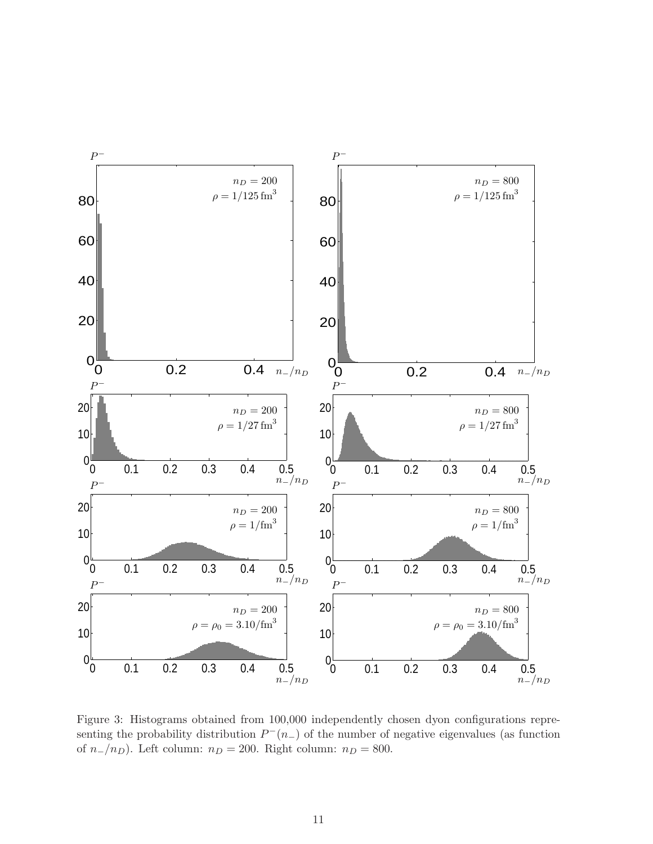

<span id="page-11-0"></span>Figure 3: Histograms obtained from 100,000 independently chosen dyon configurations representing the probability distribution  $P^-(n)$  of the number of negative eigenvalues (as function of  $n_{-}/n_D$ ). Left column:  $n_D = 200$ . Right column:  $n_D = 800$ .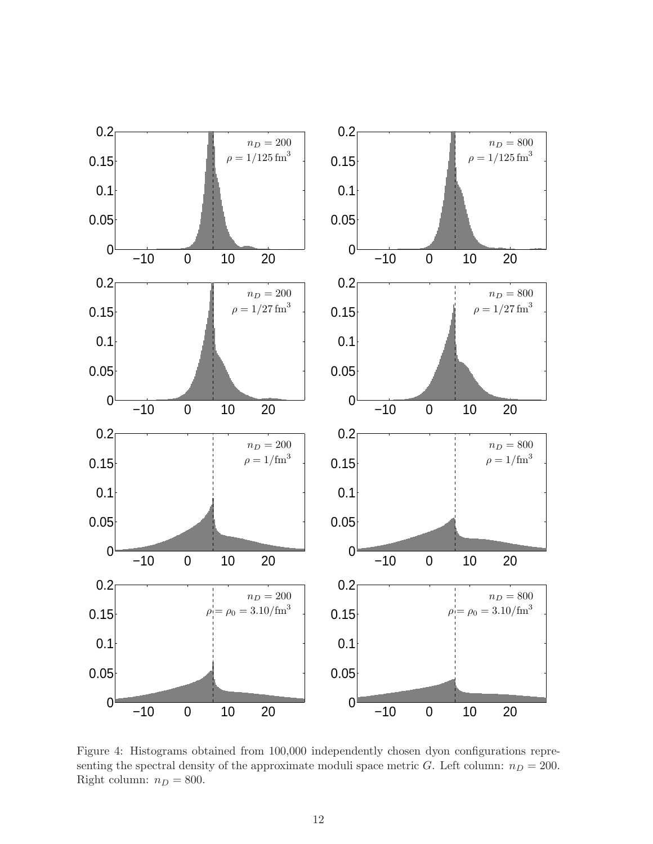

<span id="page-12-0"></span>Figure 4: Histograms obtained from 100,000 independently chosen dyon configurations representing the spectral density of the approximate moduli space metric G. Left column:  $n_D = 200$ . Right column:  $n_D = 800$ .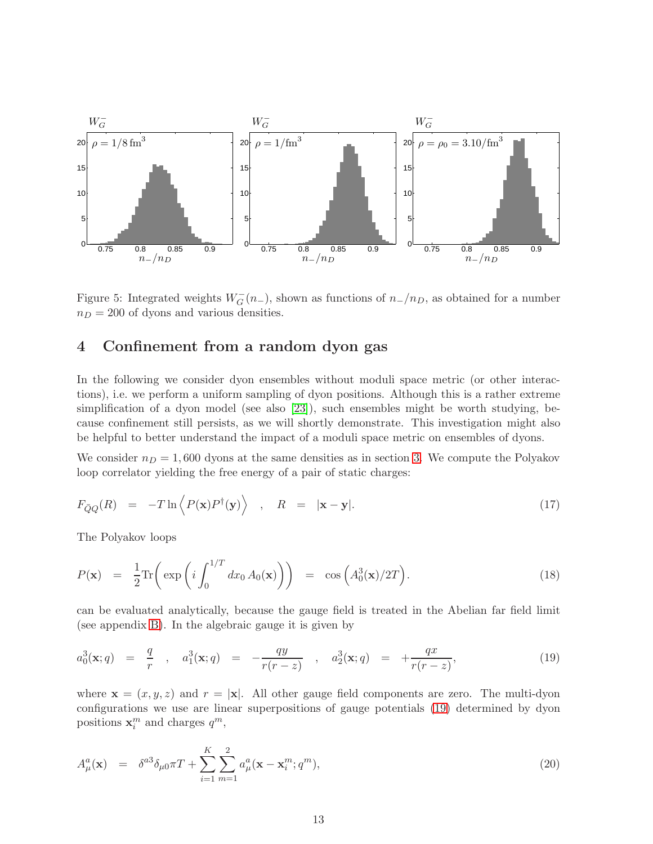

<span id="page-13-1"></span>Figure 5: Integrated weights  $W_G^-(n-)$ , shown as functions of  $n_-/n_D$ , as obtained for a number  $n_D = 200$  of dyons and various densities.

### <span id="page-13-0"></span>4 Confinement from a random dyon gas

In the following we consider dyon ensembles without moduli space metric (or other interactions), i.e. we perform a uniform sampling of dyon positions. Although this is a rather extreme simplification of a dyon model (see also [\[23\]](#page-19-7)), such ensembles might be worth studying, because confinement still persists, as we will shortly demonstrate. This investigation might also be helpful to better understand the impact of a moduli space metric on ensembles of dyons.

We consider  $n_D = 1,600$  dyons at the same densities as in section [3.](#page-4-0) We compute the Polyakov loop correlator yielding the free energy of a pair of static charges:

$$
F_{\bar{Q}Q}(R) = -T \ln \left\langle P(\mathbf{x}) P^{\dagger}(\mathbf{y}) \right\rangle , \quad R = |\mathbf{x} - \mathbf{y}|.
$$
 (17)

The Polyakov loops

$$
P(\mathbf{x}) = \frac{1}{2} \text{Tr} \left( \exp \left( i \int_0^{1/T} dx_0 A_0(\mathbf{x}) \right) \right) = \cos \left( A_0^3(\mathbf{x}) / 2T \right). \tag{18}
$$

can be evaluated analytically, because the gauge field is treated in the Abelian far field limit (see appendix [B\)](#page-17-0). In the algebraic gauge it is given by

<span id="page-13-2"></span>
$$
a_0^3(\mathbf{x};q) = \frac{q}{r} , a_1^3(\mathbf{x};q) = -\frac{qy}{r(r-z)} , a_2^3(\mathbf{x};q) = +\frac{qx}{r(r-z)}, \qquad (19)
$$

where  $\mathbf{x} = (x, y, z)$  and  $r = |\mathbf{x}|$ . All other gauge field components are zero. The multi-dyon configurations we use are linear superpositions of gauge potentials [\(19\)](#page-13-2) determined by dyon positions  $\mathbf{x}_i^m$  and charges  $q^m$ ,

$$
A_{\mu}^{a}(\mathbf{x}) = \delta^{a3} \delta_{\mu 0} \pi T + \sum_{i=1}^{K} \sum_{m=1}^{2} a_{\mu}^{a}(\mathbf{x} - \mathbf{x}_{i}^{m}; q^{m}), \qquad (20)
$$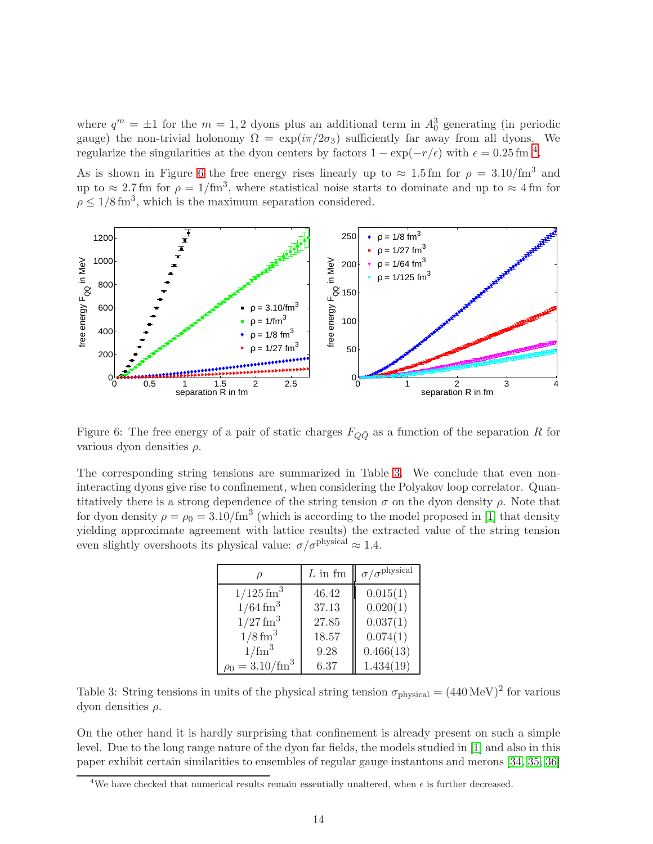where  $q^m = \pm 1$  for the  $m = 1, 2$  dyons plus an additional term in  $A_0^3$  generating (in periodic gauge) the non-trivial holonomy  $\Omega = \exp(i\pi/2\sigma_3)$  sufficiently far away from all dyons. We regularize the singularities at the dyon centers by factors  $1 - \exp(-r/\epsilon)$  with  $\epsilon = 0.25 \text{ fm}^{-4}$  $\epsilon = 0.25 \text{ fm}^{-4}$  $\epsilon = 0.25 \text{ fm}^{-4}$ .

As is shown in Figure [6](#page-14-1) the free energy rises linearly up to  $\approx 1.5$  fm for  $\rho = 3.10$ /fm<sup>3</sup> and up to  $\approx 2.7$  fm for  $\rho = 1/\text{fm}^3$ , where statistical noise starts to dominate and up to  $\approx 4$  fm for  $\rho \leq 1/8 \,\text{fm}^3$ , which is the maximum separation considered.



<span id="page-14-1"></span>Figure 6: The free energy of a pair of static charges  $F_{Q\bar{Q}}$  as a function of the separation R for various dyon densities  $\rho$ .

The corresponding string tensions are summarized in Table [3.](#page-14-2) We conclude that even noninteracting dyons give rise to confinement, when considering the Polyakov loop correlator. Quantitatively there is a strong dependence of the string tension  $\sigma$  on the dyon density  $\rho$ . Note that for dyon density  $\rho = \rho_0 = 3.10 / \text{fm}^3$  (which is according to the model proposed in [\[1\]](#page-18-0) that density yielding approximate agreement with lattice results) the extracted value of the string tension even slightly overshoots its physical value:  $\sigma/\sigma^{\text{physical}} \approx 1.4$ .

|                               | $L$ in fm | $\sigma/\sigma^{\rm physical}$ |
|-------------------------------|-----------|--------------------------------|
| $1/125$ fm <sup>3</sup>       | 46.42     | 0.015(1)                       |
| $1/64 \,\mathrm{fm}^3$        | 37.13     | 0.020(1)                       |
| $1/27$ fm <sup>3</sup>        | 27.85     | 0.037(1)                       |
| $1/8$ fm <sup>3</sup>         | 18.57     | 0.074(1)                       |
| $1/\text{fm}^3$               | 9.28      | 0.466(13)                      |
| $\rho_0 = 3.10 / \text{fm}^3$ | 6.37      | 1.434(19)                      |

<span id="page-14-2"></span>Table 3: String tensions in units of the physical string tension  $\sigma_{\text{physical}} = (440 \,\text{MeV})^2$  for various dyon densities ρ.

On the other hand it is hardly surprising that confinement is already present on such a simple level. Due to the long range nature of the dyon far fields, the models studied in [\[1\]](#page-18-0) and also in this paper exhibit certain similarities to ensembles of regular gauge instantons and merons [\[34,](#page-20-3) [35,](#page-20-4) [36\]](#page-20-5)

<span id="page-14-0"></span><sup>&</sup>lt;sup>4</sup>We have checked that numerical results remain essentially unaltered, when  $\epsilon$  is further decreased.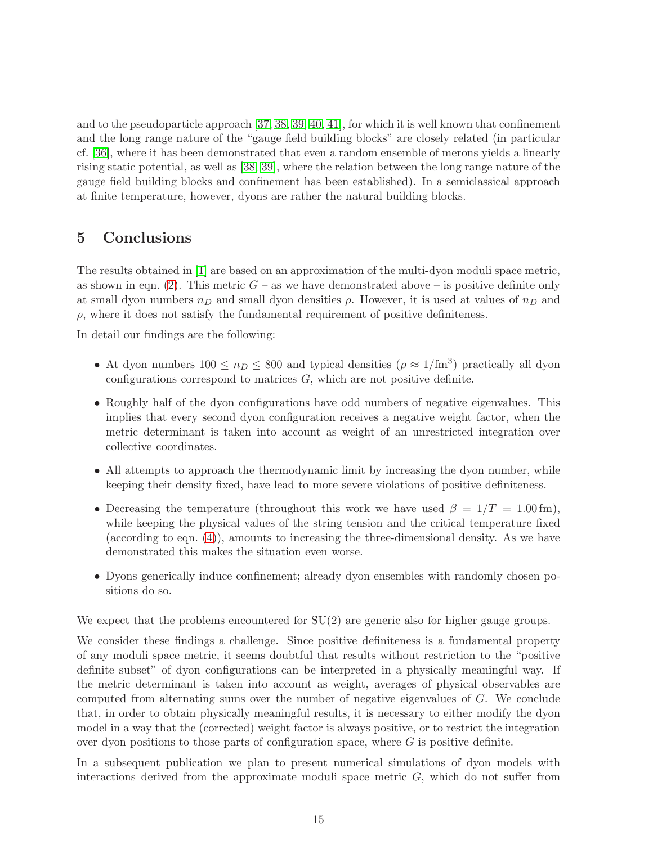and to the pseudoparticle approach [\[37,](#page-20-6) [38,](#page-20-7) [39,](#page-20-8) [40,](#page-20-9) [41\]](#page-20-10), for which it is well known that confinement and the long range nature of the "gauge field building blocks" are closely related (in particular cf. [\[36\]](#page-20-5), where it has been demonstrated that even a random ensemble of merons yields a linearly rising static potential, as well as [\[38,](#page-20-7) [39\]](#page-20-8), where the relation between the long range nature of the gauge field building blocks and confinement has been established). In a semiclassical approach at finite temperature, however, dyons are rather the natural building blocks.

## 5 Conclusions

The results obtained in [\[1\]](#page-18-0) are based on an approximation of the multi-dyon moduli space metric, as shown in eqn. [\(2\)](#page-3-4). This metric  $G$  – as we have demonstrated above – is positive definite only at small dyon numbers  $n_D$  and small dyon densities  $\rho$ . However, it is used at values of  $n_D$  and  $\rho$ , where it does not satisfy the fundamental requirement of positive definiteness.

In detail our findings are the following:

- At dyon numbers  $100 \le n_D \le 800$  and typical densities  $(\rho \approx 1/\text{fm}^3)$  practically all dyon configurations correspond to matrices  $G$ , which are not positive definite.
- Roughly half of the dyon configurations have odd numbers of negative eigenvalues. This implies that every second dyon configuration receives a negative weight factor, when the metric determinant is taken into account as weight of an unrestricted integration over collective coordinates.
- All attempts to approach the thermodynamic limit by increasing the dyon number, while keeping their density fixed, have lead to more severe violations of positive definiteness.
- Decreasing the temperature (throughout this work we have used  $\beta = 1/T = 1.00$  fm), while keeping the physical values of the string tension and the critical temperature fixed (according to eqn. [\(4\)](#page-3-1)), amounts to increasing the three-dimensional density. As we have demonstrated this makes the situation even worse.
- Dyons generically induce confinement; already dyon ensembles with randomly chosen positions do so.

We expect that the problems encountered for  $SU(2)$  are generic also for higher gauge groups.

We consider these findings a challenge. Since positive definiteness is a fundamental property of any moduli space metric, it seems doubtful that results without restriction to the "positive definite subset" of dyon configurations can be interpreted in a physically meaningful way. If the metric determinant is taken into account as weight, averages of physical observables are computed from alternating sums over the number of negative eigenvalues of G. We conclude that, in order to obtain physically meaningful results, it is necessary to either modify the dyon model in a way that the (corrected) weight factor is always positive, or to restrict the integration over dyon positions to those parts of configuration space, where  $G$  is positive definite.

In a subsequent publication we plan to present numerical simulations of dyon models with interactions derived from the approximate moduli space metric  $G$ , which do not suffer from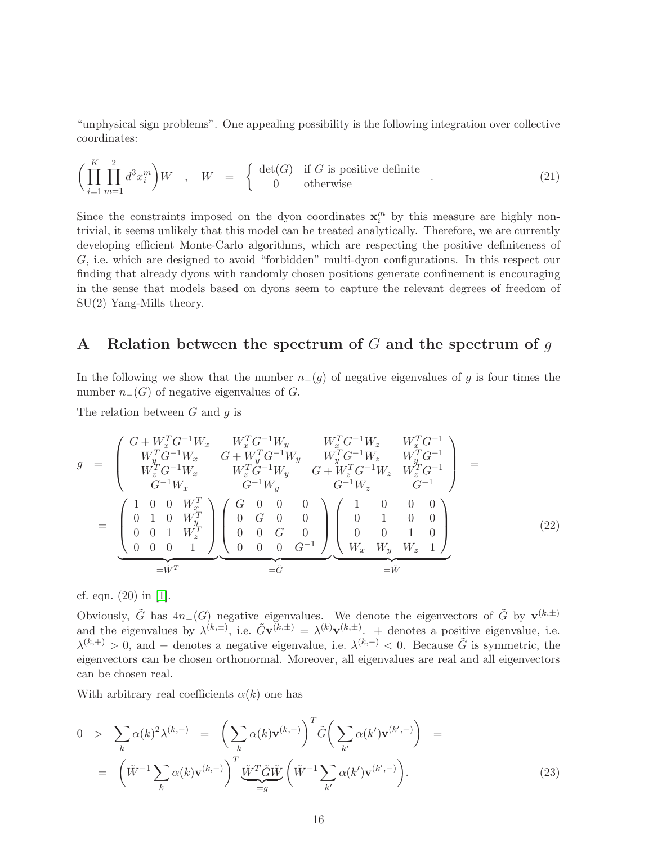"unphysical sign problems". One appealing possibility is the following integration over collective coordinates:

$$
\left(\prod_{i=1}^{K} \prod_{m=1}^{2} d^{3} x_{i}^{m}\right) W , \quad W = \begin{cases} \det(G) & \text{if } G \text{ is positive definite} \\ 0 & \text{otherwise} \end{cases}
$$
 (21)

Since the constraints imposed on the dyon coordinates  $x_i^m$  by this measure are highly nontrivial, it seems unlikely that this model can be treated analytically. Therefore, we are currently developing efficient Monte-Carlo algorithms, which are respecting the positive definiteness of G, i.e. which are designed to avoid "forbidden" multi-dyon configurations. In this respect our finding that already dyons with randomly chosen positions generate confinement is encouraging in the sense that models based on dyons seem to capture the relevant degrees of freedom of SU(2) Yang-Mills theory.

# <span id="page-16-0"></span>A Relation between the spectrum of  $G$  and the spectrum of  $g$

In the following we show that the number  $n-(g)$  of negative eigenvalues of g is four times the number  $n_{-}(G)$  of negative eigenvalues of  $G$ .

The relation between  $G$  and  $q$  is

$$
g = \begin{pmatrix} G + W_x^T G^{-1} W_x & W_x^T G^{-1} W_y & W_x^T G^{-1} W_z & W_x^T G^{-1} \\ W_y^T G^{-1} W_x & G + W_y^T G^{-1} W_y & W_y^T G^{-1} W_z & W_y^T G^{-1} \\ W_z^T G^{-1} W_x & W_z^T G^{-1} W_y & G + W_z^T G^{-1} W_z & W_z^T G^{-1} \\ G^{-1} W_x & G^{-1} W_y & G^{-1} W_z & G^{-1} \end{pmatrix} = \begin{pmatrix} 1 & 0 & 0 & W_x^T \\ 0 & 1 & 0 & W_x^T \\ 0 & 1 & 0 & W_x^T \\ 0 & 0 & 1 & W_z^T \end{pmatrix} \begin{pmatrix} G & 0 & 0 & 0 \\ 0 & G & 0 & 0 \\ 0 & 0 & G & 0 \\ 0 & 0 & 0 & G^{-1} \end{pmatrix} \begin{pmatrix} 1 & 0 & 0 & 0 \\ 0 & 1 & 0 & 0 \\ 0 & 0 & 1 & 0 \\ W_x & W_y & W_z & 1 \end{pmatrix}
$$
 (22)  

$$
= \tilde{W}^T
$$

cf. eqn. (20) in [\[1\]](#page-18-0).

Obviously,  $\tilde{G}$  has  $4n_{-}(G)$  negative eigenvalues. We denote the eigenvectors of  $\tilde{G}$  by  $\mathbf{v}^{(k,\pm)}$ and the eigenvalues by  $\lambda^{(k,\pm)}$ , i.e.  $\tilde{G}$ **v** $^{(k,\pm)}$  =  $\lambda^{(k)}$ **v** $^{(k,\pm)}$ . + denotes a positive eigenvalue, i.e.  $\lambda^{(k,+)} > 0$ , and – denotes a negative eigenvalue, i.e.  $\lambda^{(k,-)} < 0$ . Because  $\tilde{G}$  is symmetric, the eigenvectors can be chosen orthonormal. Moreover, all eigenvalues are real and all eigenvectors can be chosen real.

With arbitrary real coefficients  $\alpha(k)$  one has

<span id="page-16-1"></span>
$$
0 > \sum_{k} \alpha(k)^{2} \lambda^{(k,-)} = \left(\sum_{k} \alpha(k) \mathbf{v}^{(k,-)}\right)^{T} \tilde{G}\left(\sum_{k'} \alpha(k') \mathbf{v}^{(k',-)}\right) = \left(\tilde{W}^{-1} \sum_{k} \alpha(k) \mathbf{v}^{(k,-)}\right)^{T} \underbrace{\tilde{W}^{T} \tilde{G} \tilde{W}}_{=g} \left(\tilde{W}^{-1} \sum_{k'} \alpha(k') \mathbf{v}^{(k',-)}\right).
$$
\n(23)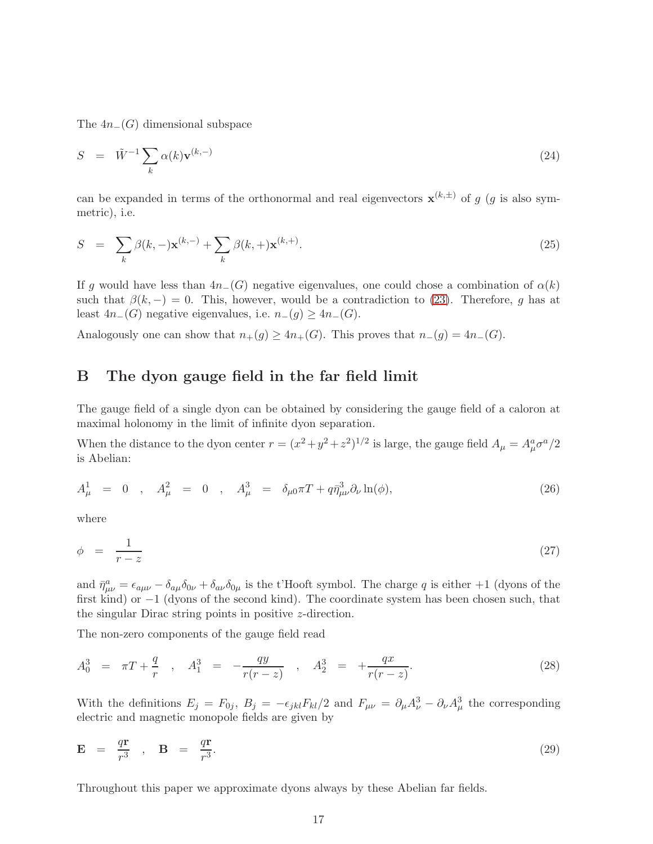The  $4n_{-}(G)$  dimensional subspace

$$
S = \tilde{W}^{-1} \sum_{k} \alpha(k) \mathbf{v}^{(k,-)} \tag{24}
$$

can be expanded in terms of the orthonormal and real eigenvectors  $\mathbf{x}^{(k,\pm)}$  of g (g is also symmetric), i.e.

$$
S = \sum_{k} \beta(k, -) \mathbf{x}^{(k,-)} + \sum_{k} \beta(k, +) \mathbf{x}^{(k,+)}.
$$
 (25)

If g would have less than  $4n-(G)$  negative eigenvalues, one could chose a combination of  $\alpha(k)$ such that  $\beta(k, -) = 0$ . This, however, would be a contradiction to [\(23\)](#page-16-1). Therefore, g has at least  $4n_{-}(G)$  negative eigenvalues, i.e.  $n_{-}(g) \geq 4n_{-}(G)$ .

<span id="page-17-0"></span>Analogously one can show that  $n_+(g) \ge 4n_+(G)$ . This proves that  $n_-(g) = 4n_-(G)$ .

## B The dyon gauge field in the far field limit

The gauge field of a single dyon can be obtained by considering the gauge field of a caloron at maximal holonomy in the limit of infinite dyon separation.

When the distance to the dyon center  $r = (x^2 + y^2 + z^2)^{1/2}$  is large, the gauge field  $A_\mu = A^a_\mu \sigma^a/2$ is Abelian:

$$
A_{\mu}^{1} = 0 , A_{\mu}^{2} = 0 , A_{\mu}^{3} = \delta_{\mu 0} \pi T + q \bar{\eta}_{\mu \nu}^{3} \partial_{\nu} \ln(\phi), \qquad (26)
$$

where

$$
\phi = \frac{1}{r - z} \tag{27}
$$

and  $\bar{\eta}^a_{\mu\nu} = \epsilon_{a\mu\nu} - \delta_{a\mu}\delta_{0\nu} + \delta_{a\nu}\delta_{0\mu}$  is the t'Hooft symbol. The charge q is either +1 (dyons of the first kind) or −1 (dyons of the second kind). The coordinate system has been chosen such, that the singular Dirac string points in positive z-direction.

The non-zero components of the gauge field read

$$
A_0^3 = \pi T + \frac{q}{r} , A_1^3 = -\frac{qy}{r(r-z)} , A_2^3 = +\frac{qx}{r(r-z)}.
$$
 (28)

With the definitions  $E_j = F_{0j}$ ,  $B_j = -\epsilon_{jkl} F_{kl}/2$  and  $F_{\mu\nu} = \partial_\mu A_\nu^3 - \partial_\nu A_\mu^3$  the corresponding electric and magnetic monopole fields are given by

$$
\mathbf{E} = \frac{q\mathbf{r}}{r^3} , \quad \mathbf{B} = \frac{q\mathbf{r}}{r^3} . \tag{29}
$$

Throughout this paper we approximate dyons always by these Abelian far fields.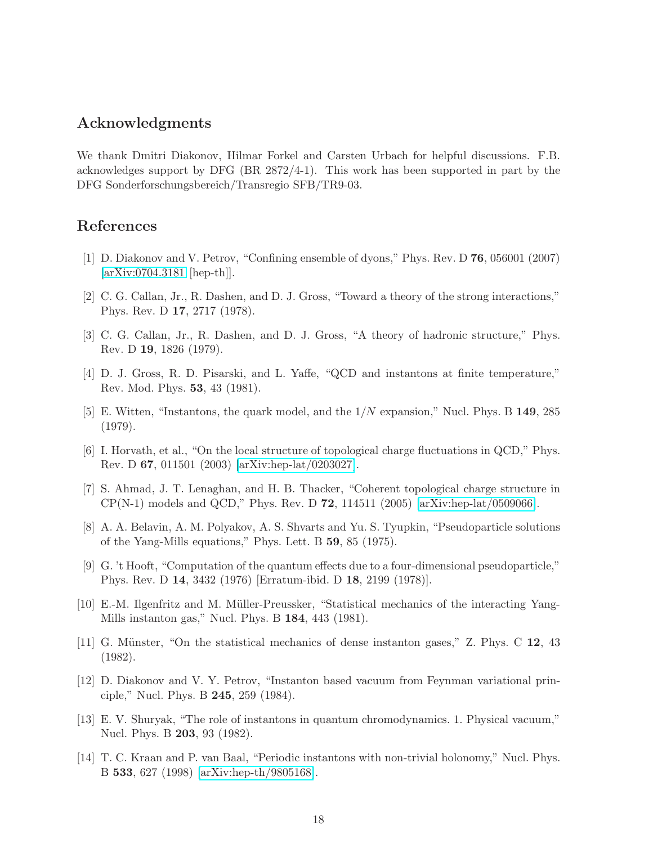## Acknowledgments

We thank Dmitri Diakonov, Hilmar Forkel and Carsten Urbach for helpful discussions. F.B. acknowledges support by DFG (BR 2872/4-1). This work has been supported in part by the DFG Sonderforschungsbereich/Transregio SFB/TR9-03.

#### <span id="page-18-0"></span>References

- <span id="page-18-1"></span>[1] D. Diakonov and V. Petrov, "Confining ensemble of dyons," Phys. Rev. D 76, 056001 (2007) [\[arXiv:0704.3181](http://arXiv.org/abs/0704.3181) [hep-th]].
- <span id="page-18-2"></span>[2] C. G. Callan, Jr., R. Dashen, and D. J. Gross, "Toward a theory of the strong interactions," Phys. Rev. D 17, 2717 (1978).
- <span id="page-18-3"></span>[3] C. G. Callan, Jr., R. Dashen, and D. J. Gross, "A theory of hadronic structure," Phys. Rev. D 19, 1826 (1979).
- <span id="page-18-4"></span>[4] D. J. Gross, R. D. Pisarski, and L. Yaffe, "QCD and instantons at finite temperature," Rev. Mod. Phys. 53, 43 (1981).
- [5] E. Witten, "Instantons, the quark model, and the 1/N expansion," Nucl. Phys. B 149, 285 (1979).
- <span id="page-18-5"></span>[6] I. Horvath, et al., "On the local structure of topological charge fluctuations in QCD," Phys. Rev. D 67, 011501 (2003) [\[arXiv:hep-lat/0203027\]](http://arXiv.org/abs/hep-lat/0203027).
- <span id="page-18-6"></span>[7] S. Ahmad, J. T. Lenaghan, and H. B. Thacker, "Coherent topological charge structure in  $CP(N-1)$  models and QCD," Phys. Rev. D 72, 114511 (2005) [\[arXiv:hep-lat/0509066\]](http://arXiv.org/abs/hep-lat/0509066).
- <span id="page-18-7"></span>[8] A. A. Belavin, A. M. Polyakov, A. S. Shvarts and Yu. S. Tyupkin, "Pseudoparticle solutions of the Yang-Mills equations," Phys. Lett. B 59, 85 (1975).
- <span id="page-18-8"></span>[9] G. 't Hooft, "Computation of the quantum effects due to a four-dimensional pseudoparticle," Phys. Rev. D 14, 3432 (1976) [Erratum-ibid. D 18, 2199 (1978)].
- <span id="page-18-10"></span><span id="page-18-9"></span>[10] E.-M. Ilgenfritz and M. M¨uller-Preussker, "Statistical mechanics of the interacting Yang-Mills instanton gas," Nucl. Phys. B 184, 443 (1981).
- [11] G. Münster, "On the statistical mechanics of dense instanton gases," Z. Phys. C  $12$ ,  $43$ (1982).
- <span id="page-18-11"></span>[12] D. Diakonov and V. Y. Petrov, "Instanton based vacuum from Feynman variational principle," Nucl. Phys. B 245, 259 (1984).
- <span id="page-18-12"></span>[13] E. V. Shuryak, "The role of instantons in quantum chromodynamics. 1. Physical vacuum," Nucl. Phys. B 203, 93 (1982).
- <span id="page-18-13"></span>[14] T. C. Kraan and P. van Baal, "Periodic instantons with non-trivial holonomy," Nucl. Phys. B 533, 627 (1998) [\[arXiv:hep-th/9805168\]](http://arXiv.org/abs/hep-th/9805168).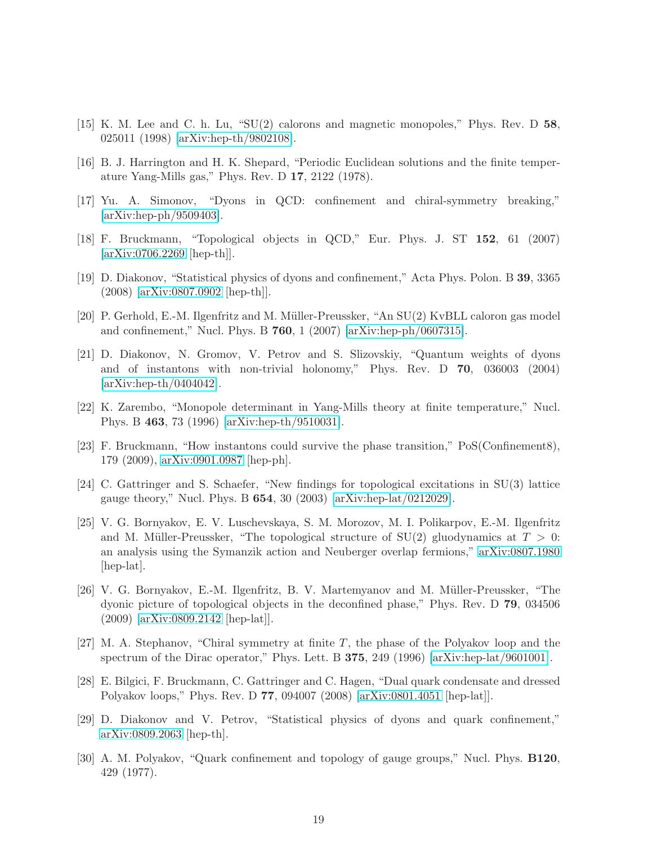- <span id="page-19-1"></span><span id="page-19-0"></span>[15] K. M. Lee and C. h. Lu, "SU(2) calorons and magnetic monopoles," Phys. Rev. D 58, 025011 (1998) [\[arXiv:hep-th/9802108\]](http://arXiv.org/abs/hep-th/9802108).
- <span id="page-19-14"></span>[16] B. J. Harrington and H. K. Shepard, "Periodic Euclidean solutions and the finite temperature Yang-Mills gas," Phys. Rev. D 17, 2122 (1978).
- <span id="page-19-2"></span>[17] Yu. A. Simonov, "Dyons in QCD: confinement and chiral-symmetry breaking," [\[arXiv:hep-ph/9509403\]](http://arXiv.org/abs/hep-ph/9509403).
- <span id="page-19-3"></span>[18] F. Bruckmann, "Topological objects in QCD," Eur. Phys. J. ST 152, 61 (2007) [\[arXiv:0706.2269](http://arXiv.org/abs/0706.2269) [hep-th]].
- <span id="page-19-4"></span>[19] D. Diakonov, "Statistical physics of dyons and confinement," Acta Phys. Polon. B 39, 3365 (2008) [\[arXiv:0807.0902](http://arXiv.org/abs/0807.0902) [hep-th]].
- <span id="page-19-5"></span>[20] P. Gerhold, E.-M. Ilgenfritz and M. Müller-Preussker, "An SU(2) KvBLL caloron gas model and confinement," Nucl. Phys. B 760, 1 (2007) [\[arXiv:hep-ph/0607315\]](http://arXiv.org/abs/hep-ph/0607315).
- [21] D. Diakonov, N. Gromov, V. Petrov and S. Slizovskiy, "Quantum weights of dyons and of instantons with non-trivial holonomy," Phys. Rev. D 70, 036003 (2004) [\[arXiv:hep-th/0404042\]](http://arXiv.org/abs/hep-th/0404042).
- <span id="page-19-7"></span><span id="page-19-6"></span>[22] K. Zarembo, "Monopole determinant in Yang-Mills theory at finite temperature," Nucl. Phys. B 463, 73 (1996) [\[arXiv:hep-th/9510031\]](http://arXiv.org/abs/hep-th/9510031).
- <span id="page-19-8"></span>[23] F. Bruckmann, "How instantons could survive the phase transition," PoS(Confinement8), 179 (2009), [arXiv:0901.0987](http://arXiv.org/abs/0901.0987) [hep-ph].
- [24] C. Gattringer and S. Schaefer, "New findings for topological excitations in SU(3) lattice gauge theory," Nucl. Phys. B 654, 30 (2003) [\[arXiv:hep-lat/0212029\]](http://arXiv.org/abs/hep-lat/0212029).
- <span id="page-19-9"></span>[25] V. G. Bornyakov, E. V. Luschevskaya, S. M. Morozov, M. I. Polikarpov, E.-M. Ilgenfritz and M. Müller-Preussker, "The topological structure of  $SU(2)$  gluodynamics at  $T > 0$ : an analysis using the Symanzik action and Neuberger overlap fermions," [arXiv:0807.1980](http://arXiv.org/abs/0807.1980) [hep-lat].
- <span id="page-19-10"></span>[26] V. G. Bornyakov, E.-M. Ilgenfritz, B. V. Martemyanov and M. Müller-Preussker, "The dyonic picture of topological objects in the deconfined phase," Phys. Rev. D 79, 034506 (2009) [\[arXiv:0809.2142](http://arXiv.org/abs/0809.2142) [hep-lat]].
- <span id="page-19-11"></span>[27] M. A. Stephanov, "Chiral symmetry at finite  $T$ , the phase of the Polyakov loop and the spectrum of the Dirac operator," Phys. Lett. B 375, 249 (1996) [\[arXiv:hep-lat/9601001\]](http://arXiv.org/abs/hep-lat/9601001).
- <span id="page-19-12"></span>[28] E. Bilgici, F. Bruckmann, C. Gattringer and C. Hagen, "Dual quark condensate and dressed Polyakov loops," Phys. Rev. D 77, 094007 (2008) [\[arXiv:0801.4051](http://arXiv.org/abs/0801.4051) [hep-lat]].
- <span id="page-19-13"></span>[29] D. Diakonov and V. Petrov, "Statistical physics of dyons and quark confinement," [arXiv:0809.2063](http://arXiv.org/abs/0809.2063) [hep-th].
- <span id="page-19-15"></span>[30] A. M. Polyakov, "Quark confinement and topology of gauge groups," Nucl. Phys. B120, 429 (1977).